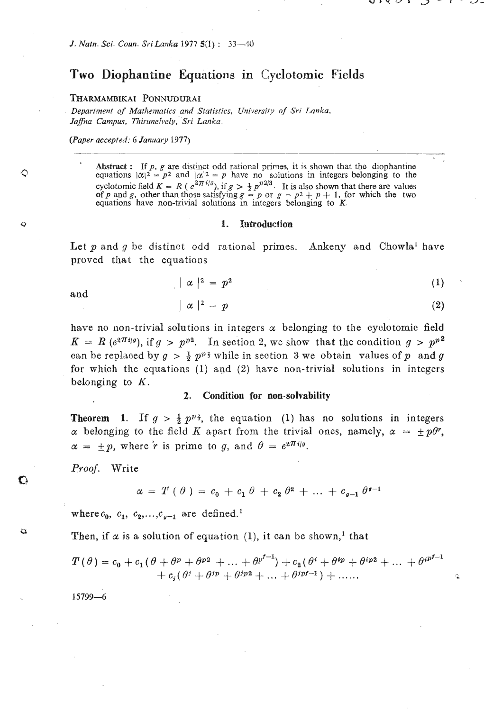# **Two Diophantine Equations in Cyclotomic Fields**

#### **THARMAMBIKAI PONNUDURAI**

*Department of Mat/~mtics and Statistics, University of Sri Lanka,*  Jaffna Campus, Thirunelvely, Sri Lanka. epartment of<br>
affna Campus,<br>
Paper accepted<br>
Abstract

*(Paper accepted: 6 January 1977)* 

**Abstract:** If p, g are distinct odd rational primes, it is shown that the diophantine equations  $|\alpha|^2 = p^2$  and  $|\alpha|^2 = p$  have no solutions in integers belonging to the equations  $|\alpha|^2 = p^2$  and  $|\alpha|^2 = p$  have no solutions in integers belonging to the cyclotomic field  $K = R$  ( $e^{2\pi i/g}$ ), if  $g > \frac{1}{2}p^{p2/3}$ . It is also shown that there are values cyclotomic field  $K = R(e^{2H^2/2})$ , if  $g > \frac{1}{2}p^{D^2/3}$ . It is also shown that there are values of *p* and *g*, other than those satisfying  $g - p$  or  $g = p^2 + p + 1$ , for which the two equations have non-trivial solutions in

#### 1. Introduction

Let  $p$  and  $q$  be distinct odd rational primes. Ankeny and Chowla<sup>1</sup> have proved that the equations

$$
\vert \alpha \vert^2 = p^2 \tag{1}
$$

and

↶

 $\circ$ 

 $\mathbf C$ 

 $\alpha$ 

$$
\alpha \mid^2 = p \tag{2}
$$

Ġ,

have no non-trivial solutions in integers  $\alpha$  belonging to the cyclotomic field  $K = R$  (e<sup>2 $\pi i g$ </sup>), if  $g > p^{p^2}$ . In section 2, we show that the condition  $g > p^{p^2}$ can be replaced by  $g > \frac{1}{2} p^{p_{\frac{3}{2}}}$  while in section 3 we obtain values of p and g for which the equations (1) and (2) have non-trivial solutions in integers belonging to  $K$ .

### **2. Condition for non-solvability**

**Theorem 1.** If  $g > \frac{1}{2} p^{p_3}$ , the equation (1) has no solutions in integers  $\alpha$  belonging to the field K apart from the trivial ones, namely,  $\alpha = \pm p\theta^r$ ,  $\alpha = \pm p$ , where  $\dot{r}$  is prime to g, and  $\theta = e^{2\pi i/g}$ .

Proof. Write

$$
\alpha = T(\theta) = c_0 + c_1 \theta + c_2 \theta^2 + \dots + c_{q-1} \theta^{q-1}
$$

where  $c_0$ ,  $c_1$ ,  $c_2$ ,...,  $c_{q-1}$  are defined.<sup>1</sup>

Then, if  $\alpha$  is a solution of equation (1), it can be shown,<sup>1</sup> that

$$
T(\theta) = c_0 + c_1(\theta + \theta^p + \theta^{p_2} + ... + \theta^{p^{f-1}}) + c_2(\theta^i + \theta^{ip} + \theta^{ip_2} + ... + \theta^{ip^{f-1}}) + c_i(\theta^j + \theta^{ip} + \theta^{ip_2} + ... + \theta^{ip^{f-1}}) + ...
$$

 $15799 - 6$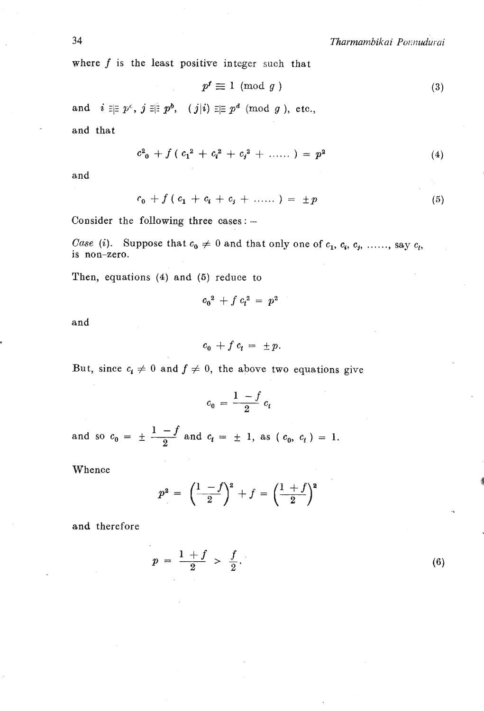where f is the least positive integer such that  $p' \equiv 1 \pmod{g}$ 

$$
p^f \equiv 1 \pmod{g} \tag{3}
$$

and  $i \equiv p^c$ ,  $j \equiv p^b$ ,  $(j|i) \equiv p^d \pmod{g}$ , etc.,

and that

$$
c_{0}^{2} + f(c_{1}^{2} + c_{i}^{2} + c_{j}^{2} + \ldots) = p^{2}
$$
 (4)

and

$$
c_0 + f(c_1 + c_1 + c_2 + \ldots) = \pm p \tag{5}
$$

Consider the following three cases :  $-$ 

*Case* (i). Suppose that  $c_0 \neq 0$  and that only one of  $c_1, c_6, c_7, \ldots,$  say  $c_t$ , is non-zero.

Then, equations (4) and (5) reduce to

$$
c_0^2 + f c_t^2 = p^2
$$

and

$$
c_0 + f c_t = \pm p.
$$

But, since  $c_i \neq 0$  and  $f \neq 0$ , the above two equations give

$$
c_0 = \frac{1-f}{2} c_t
$$

and so  $c_0 = \pm \frac{1-f}{2}$  and  $c_t = \pm 1$ , as  $(c_0, c_t) = 1$ .

Whence

$$
p^2 = \left(\frac{1-f}{2}\right)^2 + f = \left(\frac{1+f}{2}\right)^2
$$

and therefore

$$
p = \frac{1+f}{2} > \frac{f}{2}.
$$
 (6)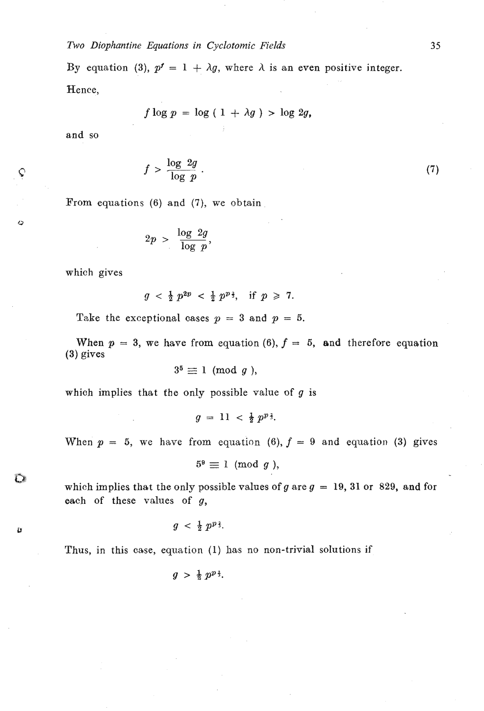*Two Diophantine Equations in Cyclotomic Fields* 

*By* equation (3),  $p^f = 1 + \lambda g$ , where  $\lambda$  is an even positive integer. Hence,

$$
f \log p = \log (1 + \lambda g) > \log 2g,
$$

and so

Ç

 $\ddot{\circ}$ 

 $\mathbf \Omega$ 

Ù

$$
>\frac{\log 2g}{\log p} \tag{7}
$$

From equations (6) and (7), we obtain

$$
f > \frac{16}{\log p}.
$$
\n
$$
(6) \text{ and } (7), \text{ we have}
$$
\n
$$
2p > \frac{\log 2g}{\log p},
$$

which gives

$$
g < \frac{1}{2} p^{2p} < \frac{1}{2} p^{p\frac{2}{3}}, \text{ if } p \geq 7.
$$

Take the exceptional cases  $p = 3$  and  $p = 5$ .

When  $p = 3$ , we have from equation (6),  $f = 5$ , and therefore equation (3) gives

$$
3^5 \equiv 1 \pmod{g},
$$

which implies that **the** only possible value of *g* is

$$
g = 11 < \frac{1}{2} p^{p}.
$$

When  $p = 5$ , we have from equation (6),  $f = 9$  and equation (3) gives

 $5^9 \equiv 1 \pmod{g}$ ,

which implies that the only possible values of *g* are  $g = 19, 31$  or 829, and for each of these values of *g,* 

$$
g \ < \ \frac{1}{2} \ p^{p \frac{2}{3}}.
$$

Thus, in this case, equation (1) has no non-trivial solutions if

 $g > \frac{1}{2} p^{p}$ <sup>3</sup>.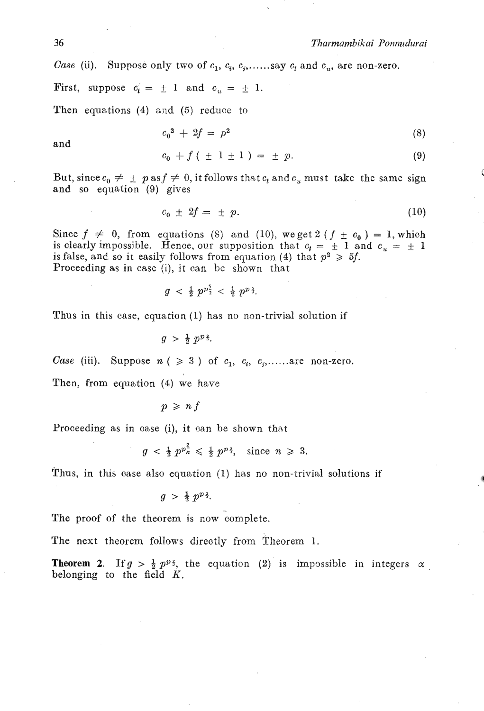## *36 Tharmambikai Ponnudurai*

*Case* (ii). Suppose only two of  $c_1$ ,  $c_i$ ,  $c_j$ ,......say  $c_i$  and  $c_u$ , are non-zero.

First, suppose  $c'_i = \pm 1$  and  $c_u = \pm 1$ .

Then equations  $(4)$  and  $(5)$  reduce to

$$
c_0^2 + 2f = p^2 \tag{8}
$$

and

$$
c_0 + f \left( \pm 1 \pm 1 \right) = \pm p. \tag{9}
$$

But, since  $c_0 \neq \pm p$  as  $f \neq 0$ , it follows that  $c_t$  and  $c_u$  must take the same sign and so equation (9) gives

$$
c_0 \pm 2f = \pm p. \tag{10}
$$

Since  $f \neq 0$ , from equations (8) and (10), we get 2 ( $f \pm c_0$ ) = 1, which is clearly impossible. Hence, our supposition that  $c_t = \pm 1$  and  $c_u = \pm 1$ is false, and so it easily follows from equation (4) that  $p^2 \ge 5f$ . Proceeding as in case (i), it can be shown that

$$
g \ < \ \tfrac{1}{2} \ p^{p^5} \ < \ \tfrac{1}{2} \ p^{p^3}.
$$

Thus in this case, equation (1) has no non-trivial solution if

 $q > \frac{1}{2} p^{p}$ .

*Case* (iii). Suppose  $n \neq 3$  ) of  $c_1, c_i, c_j, \ldots$  are non-zero.

Then, from equation (4) we have

 $p \geqslant n f$ 

Proceeding as in case (i), it can be shown that

$$
g < \frac{1}{2} p^{p_n^2} \leqslant \frac{1}{2} p^{p_{\frac{3}{2}}}, \text{ since } n \geqslant 3.
$$

Thus, in this case also equation (1) has no non-trivial solutions if

$$
g\;>\;\tfrac{1}{2}\;p^{p\,\frac{2}{3}}.
$$

The proof of the theorem is now complete.

The next theorem follows directly from Theorem 1.

**Theorem 2.** If  $g > \frac{1}{2} p^{p}$ , the equation (2) is impossible in integers  $\alpha$ belonging to the field  $K$ .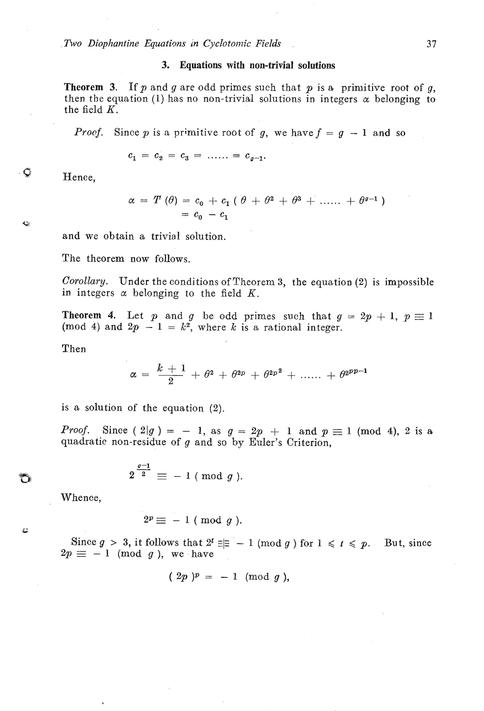### **3. Equations with non-trivial solations**

**Theorem 3.** If p and *g* are odd primes such that p is a primitive root of *g,*  then the equation (1) has no non-trivial solutions in integers  $\alpha$  belonging to the field  $K$ .

*Proof.* Since  $p$  is a primitive root of  $g$ , we have  $f = g - 1$  and so

$$
c_1 = c_2 = c_3 = \dots = c_{g-1}.
$$

Hence,

 $\mathbf G$ 

 $\mathbf{C}$ 

$$
\alpha = T(\theta) = c_0 + c_1 (\theta + \theta^2 + \theta^3 + \dots + \theta^{g-1})
$$
  
= c\_0 - c\_1

and we obtain a trivial solution.

The theorem now follows.

*Corollary.* Under the conditions of Theorem 3, the equation *(2)* is impossible in integers  $\alpha$  belonging to the field K.

**Theorem 4.** Let *p* and *g* be odd primes such that  $g = 2p + 1$ ,  $p \equiv 1$ (mod 4) and  $2p - 1 = k^2$ , where k is a rational integer.

Then

$$
\alpha\,=\,\,\frac{k\,+\,1}{2}\,+\,\theta^2\,+\,\theta^{2p}\,+\,\theta^{2p^{\,2}}\,+\,\ldots\ldots\,+\,\theta^{2^{pp-1}}
$$

is a solution of the equation (2).

*Proof.* Since  $(2|g) = -1$ , as  $g = 2p + 1$  and  $p \equiv 1 \pmod{4}$ , 2 is a quadratic non-residue of *g* and so by Euler's Criterion,

$$
2^{\frac{g-1}{2}} \equiv -1 \pmod{g}.
$$

Whence,

**c** 

$$
2^p \equiv -1 \pmod{g}.
$$

Since  $g > 3$ , it follows that  $2^t = -1 \pmod{g}$  for  $1 \le t \le p$ . But, since Since  $g > 3$ , it follows that  $2^t \equiv p \equiv -1 \pmod{g}$ , we have

$$
(2p)^p = -1 \pmod{g}
$$
,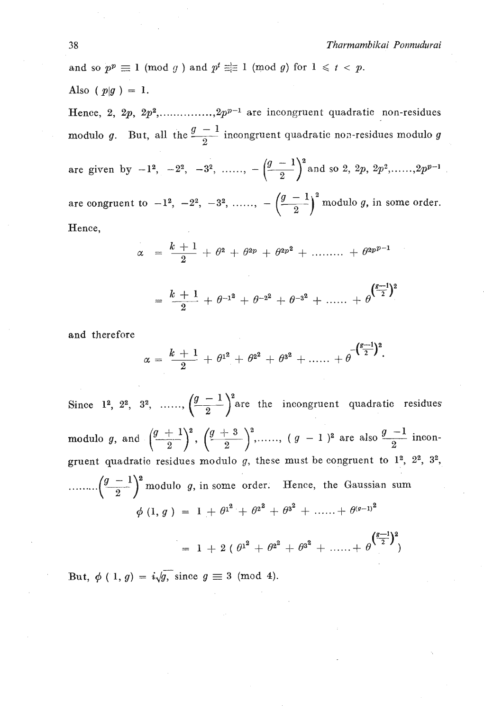and so  $p^p \equiv 1 \pmod{g}$  and  $p^t \equiv \equiv 1 \pmod{g}$  for  $1 \leq t < p$ . Also ( $p|g$ ) = 1. Hence, 2, 2p, 2p<sup>2</sup>,.............., 2p<sup>p-1</sup> are incongruent quadratic non-residues

Also (p|g ) = 1.<br>Hence, 2, 2p, 2p<sup>2</sup>,..............,2p<sup>p-1</sup> are incongruent quadratic non-residues modulo g<br>modulo g. But, all the  $\frac{g-1}{2}$  incongruent quadratic non-residues modulo g

are given by  $-1^2$ ,  $-2^2$ ,  $-3^2$ , ......,  $-\left(\frac{g-1}{2}\right)^2$  and so 2, 2p,  $2p^2$ ,.....,  $2p^{p-1}$ are congruent to  $-1^2$ ,  $-2^2$ ,  $-3^2$ , ......,  $-\left(\frac{g-1}{2}\right)^2$  modulo g, in some order. Hence,

$$
z = \frac{k+1}{2} + \theta^2 + \theta^{2p} + \theta^{2p^2} + \dots + \theta^{2p^{p-1}}
$$

$$
= \frac{k+1}{2} + \theta^{-1^2} + \theta^{-2^2} + \theta^{-3^2} + \dots + \theta^{\left(\frac{g-1}{2}\right)^2}
$$

and therefore

$$
\alpha = \frac{k+1}{2} + \theta^{1^2} + \theta^{2^2} + \theta^{3^2} + \ldots + \theta^{\sqrt{\frac{s-1}{2}}^2}.
$$

Since 1<sup>2</sup>, 2<sup>2</sup>, 3<sup>2</sup>, ......,  $\left(\frac{g-1}{2}\right)^2$  are the incongruent quadratic residues modulo g, and  $\left(\frac{g+1}{2}\right)^2$ ,  $\left(\frac{g+3}{2}\right)^2$ , ...,,  $(g-1)^2$  are also  $\frac{g-1}{2}$  incongruent quadratic residues modulo  $g$ , these must be congruent to  $1^2$ ,  $2^2$ ,  $3^2$ , ........ $\left(\frac{g-1}{2}\right)^2$  modulo g, in some order. Hence, the Gaussian sum  $\phi$  (1, g) = 1 +  $\theta^{1^2}$  +  $\theta^{2^2}$  +  $\theta^{3^2}$  + ...... +  $\theta^{(q-1)^2}$  $= 1 + 2 (\theta^{1^2} + \theta^{2^2} + \theta^{3^2} + \dots + \theta^{(\frac{g-1}{2})^2})$ 

But,  $\phi$  (1, g) =  $i\sqrt{g}$ , since  $g \equiv 3 \pmod{4}$ .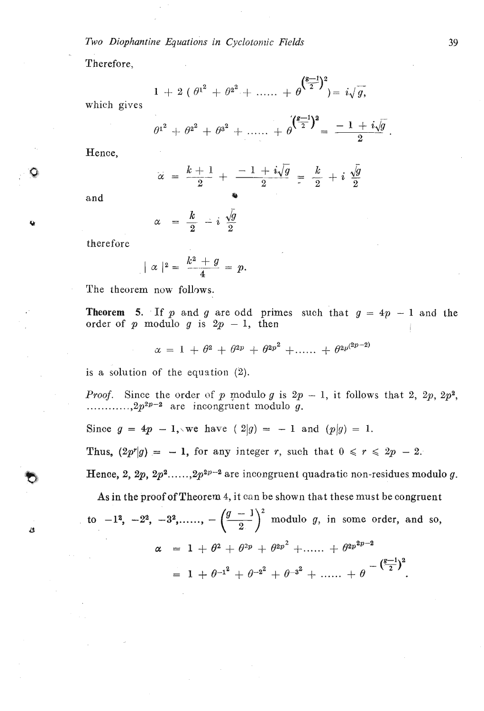**Two Diophantine Equations in Cyclotonic Fields** 

Therefore,

+ 2 
$$
(\theta^{1^2} + \theta^{2^2} + \dots + \theta^{(\frac{g-1}{2})^2}) = i\sqrt{g}
$$

which gives

1

$$
\theta^{1^2} + \theta^{2^2} + \theta^{3^2} + \dots + \theta^{(\frac{g-1}{2})^2} = \frac{-1 + i\sqrt{g}}{2}
$$

Hence,

$$
\alpha = \frac{k+1}{2} + \frac{-1 + i\sqrt{g}}{2} = \frac{k}{2} + i \frac{\sqrt{g}}{2}
$$

and **Q** 

O

Ü

 $=$   $\frac{k}{2}$   $i$   $\frac{\sqrt{g}}{2}$  $\alpha$ 

therefore

$$
| \alpha |^2 = \frac{k^2 + g}{4} = p.
$$

The theorem now follows.

**Theorem 5.** If  $p$  and  $q$  are odd primes such that  $q = 4p - 1$  and the **Theorem 5.** If  $p$  and  $q$  are odd prim order of  $p$  modulo  $q$  is  $2p - 1$ , then

$$
\alpha = 1 + \theta^2 + \theta^{2p} + \theta^{2p^2} + \ldots + \theta^{2p^{(2p-2)}}
$$

is a solution of the equation (2).

*Proof.* Since the order of p modulo g is  $2p - 1$ , it follows that 2,  $2p$ ,  $2p^2$ ,  $\ldots$ ........,  $2p^{2p-2}$  are incongruent modulo g.

Since 
$$
g = 4p - 1
$$
, we have  $(2|g) = -1$  and  $(p|g) = 1$ .

Thus,  $(2p^r|g) = -1$ , for any integer *r*, such that  $0 \le r \le 2p - 2$ .

Hence, 2, 2p,  $2p^2$ ......, $2p^{2p-2}$  are incongruent quadratic non-residues modulo g.

As in the proof of Theorem 4, it can be shown that these must be congruent  
to -1<sup>2</sup>, -2<sup>2</sup>, -3<sup>2</sup>,......, 
$$
-\left(\frac{g-1}{2}\right)^2
$$
 modulo *g*, in some order, and so,  
 $\alpha = 1 + \theta^2 + \theta^{2p} + \theta^{2p^2} + ...... + \theta^{2p^{2p-2}}$   
 $= 1 + \theta^{-1^2} + \theta^{-2^2} + \theta^{-3^2} + ...... + \theta^{-\frac{g-1}{2}^2}$ .